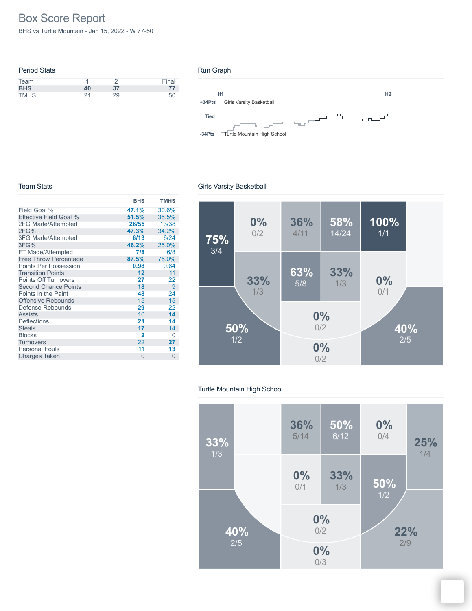# Box Score Report

BHS vs Turtle Mountain - Jan 15, 2022 - W 77-50

| <b>Period Stats</b> |    |    |       |
|---------------------|----|----|-------|
| Team                |    |    | Final |
| <b>BHS</b>          | 40 | 37 | 77    |
| <b>TMHS</b>         | 21 | 29 | 50    |

#### Run Graph



#### Team Stats

|                              | <b>BHS</b>     | <b>TMHS</b> |
|------------------------------|----------------|-------------|
| Field Goal %                 | 47.1%          | 30.6%       |
| Effective Field Goal %       | 51.5%          | 35.5%       |
| 2FG Made/Attempted           | 26/55          | 13/38       |
| 2FG%                         | 47.3%          | 34.2%       |
| <b>3FG Made/Attempted</b>    | 6/13           | 6/24        |
| 3FG%                         | 46.2%          | 25.0%       |
| FT Made/Attempted            | 7/8            | 6/8         |
| <b>Free Throw Percentage</b> | 87.5%          | 75.0%       |
| <b>Points Per Possession</b> | 0.98           | 0.64        |
| <b>Transition Points</b>     | 12             | 11          |
| <b>Points Off Turnovers</b>  | 27             | 22          |
| <b>Second Chance Points</b>  | 18             | 9           |
| Points in the Paint          | 48             | 24          |
| <b>Offensive Rebounds</b>    | 15             | 15          |
| Defense Rebounds             | 29             | 22          |
| <b>Assists</b>               | 10             | 14          |
| <b>Deflections</b>           | 21             | 14          |
| <b>Steals</b>                | 17             | 14          |
| <b>Blocks</b>                | $\overline{2}$ | 0           |
| Turnovers                    | 22             | 27          |
| <b>Personal Fouls</b>        | 11             | 13          |
| <b>Charges Taken</b>         | $\Omega$       | $\Omega$    |

### Girls Varsity Basketball



### Turtle Mountain High School